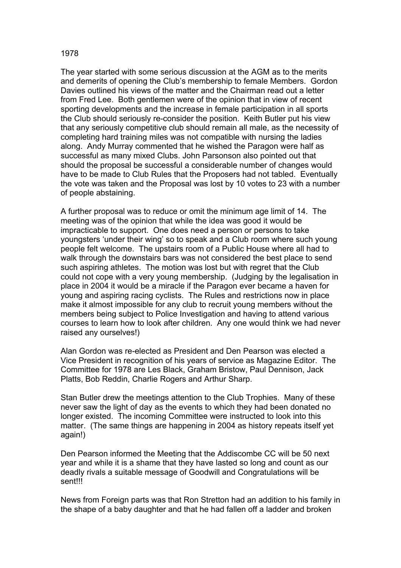## The year started with some serious discussion at the AGM as to the merits and demerits of opening the Club's membership to female Members. Gordon Davies outlined his views of the matter and the Chairman read out a letter from Fred Lee. Both gentlemen were of the opinion that in view of recent sporting developments and the increase in female participation in all sports the Club should seriously re-consider the position. Keith Butler put his view that any seriously competitive club should remain all male, as the necessity of completing hard training miles was not compatible with nursing the ladies along. Andy Murray commented that he wished the Paragon were half as successful as many mixed Clubs. John Parsonson also pointed out that should the proposal be successful a considerable number of changes would have to be made to Club Rules that the Proposers had not tabled. Eventually the vote was taken and the Proposal was lost by 10 votes to 23 with a number of people abstaining.

A further proposal was to reduce or omit the minimum age limit of 14. The meeting was of the opinion that while the idea was good it would be impracticable to support. One does need a person or persons to take youngsters 'under their wing' so to speak and a Club room where such young people felt welcome. The upstairs room of a Public House where all had to walk through the downstairs bars was not considered the best place to send such aspiring athletes. The motion was lost but with regret that the Club could not cope with a very young membership. (Judging by the legalisation in place in 2004 it would be a miracle if the Paragon ever became a haven for young and aspiring racing cyclists. The Rules and restrictions now in place make it almost impossible for any club to recruit young members without the members being subject to Police Investigation and having to attend various courses to learn how to look after children. Any one would think we had never raised any ourselves!)

Alan Gordon was re-elected as President and Den Pearson was elected a Vice President in recognition of his years of service as Magazine Editor. The Committee for 1978 are Les Black, Graham Bristow, Paul Dennison, Jack Platts, Bob Reddin, Charlie Rogers and Arthur Sharp.

Stan Butler drew the meetings attention to the Club Trophies. Many of these never saw the light of day as the events to which they had been donated no longer existed. The incoming Committee were instructed to look into this matter. (The same things are happening in 2004 as history repeats itself yet again!)

Den Pearson informed the Meeting that the Addiscombe CC will be 50 next year and while it is a shame that they have lasted so long and count as our deadly rivals a suitable message of Goodwill and Congratulations will be sent!!!

News from Foreign parts was that Ron Stretton had an addition to his family in the shape of a baby daughter and that he had fallen off a ladder and broken

## 1978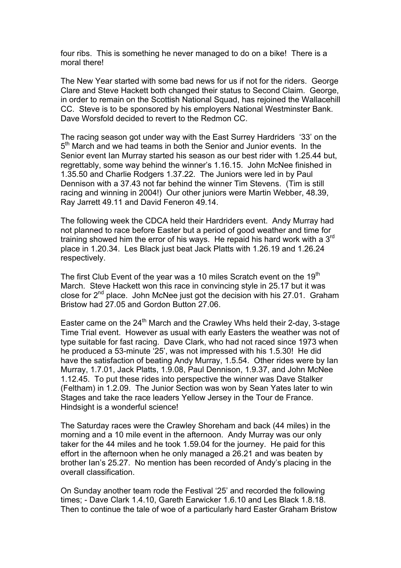four ribs. This is something he never managed to do on a bike! There is a moral there!

The New Year started with some bad news for us if not for the riders. George Clare and Steve Hackett both changed their status to Second Claim. George, in order to remain on the Scottish National Squad, has rejoined the Wallacehill CC. Steve is to be sponsored by his employers National Westminster Bank. Dave Worsfold decided to revert to the Redmon CC.

The racing season got under way with the East Surrey Hardriders '33' on the 5<sup>th</sup> March and we had teams in both the Senior and Junior events. In the Senior event Ian Murray started his season as our best rider with 1.25.44 but, regrettably, some way behind the winner's 1.16.15. John McNee finished in 1.35.50 and Charlie Rodgers 1.37.22. The Juniors were led in by Paul Dennison with a 37.43 not far behind the winner Tim Stevens. (Tim is still racing and winning in 2004!) Our other juniors were Martin Webber, 48.39, Ray Jarrett 49.11 and David Feneron 49.14.

The following week the CDCA held their Hardriders event. Andy Murray had not planned to race before Easter but a period of good weather and time for training showed him the error of his ways. He repaid his hard work with a 3<sup>rd</sup> place in 1.20.34. Les Black just beat Jack Platts with 1.26.19 and 1.26.24 respectively.

The first Club Event of the year was a 10 miles Scratch event on the 19<sup>th</sup> March. Steve Hackett won this race in convincing style in 25.17 but it was close for  $2^{nd}$  place. John McNee just got the decision with his 27.01. Graham Bristow had 27.05 and Gordon Button 27.06.

Easter came on the 24<sup>th</sup> March and the Crawley Whs held their 2-day, 3-stage Time Trial event. However as usual with early Easters the weather was not of type suitable for fast racing. Dave Clark, who had not raced since 1973 when he produced a 53-minute '25', was not impressed with his 1.5.30! He did have the satisfaction of beating Andy Murray, 1.5.54. Other rides were by Ian Murray, 1.7.01, Jack Platts, 1.9.08, Paul Dennison, 1.9.37, and John McNee 1.12.45. To put these rides into perspective the winner was Dave Stalker (Feltham) in 1.2.09. The Junior Section was won by Sean Yates later to win Stages and take the race leaders Yellow Jersey in the Tour de France. Hindsight is a wonderful science!

The Saturday races were the Crawley Shoreham and back (44 miles) in the morning and a 10 mile event in the afternoon. Andy Murray was our only taker for the 44 miles and he took 1.59.04 for the journey. He paid for this effort in the afternoon when he only managed a 26.21 and was beaten by brother Ian's 25.27. No mention has been recorded of Andy's placing in the overall classification.

On Sunday another team rode the Festival '25' and recorded the following times; - Dave Clark 1.4.10, Gareth Earwicker 1.6.10 and Les Black 1.8.18. Then to continue the tale of woe of a particularly hard Easter Graham Bristow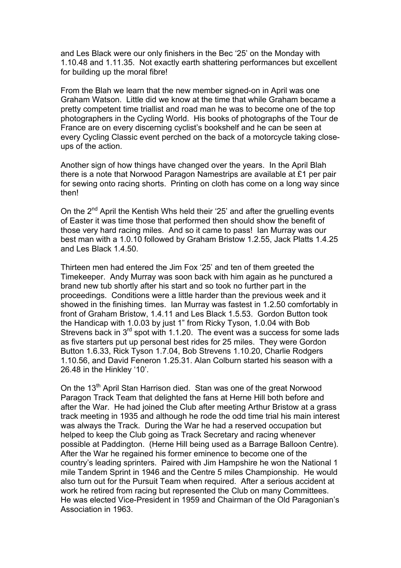and Les Black were our only finishers in the Bec '25' on the Monday with 1.10.48 and 1.11.35. Not exactly earth shattering performances but excellent for building up the moral fibre!

From the Blah we learn that the new member signed-on in April was one Graham Watson. Little did we know at the time that while Graham became a pretty competent time triallist and road man he was to become one of the top photographers in the Cycling World. His books of photographs of the Tour de France are on every discerning cyclist's bookshelf and he can be seen at every Cycling Classic event perched on the back of a motorcycle taking closeups of the action.

Another sign of how things have changed over the years. In the April Blah there is a note that Norwood Paragon Namestrips are available at £1 per pair for sewing onto racing shorts. Printing on cloth has come on a long way since then!

On the  $2^{nd}$  April the Kentish Whs held their '25' and after the gruelling events of Easter it was time those that performed then should show the benefit of those very hard racing miles. And so it came to pass! Ian Murray was our best man with a 1.0.10 followed by Graham Bristow 1.2.55, Jack Platts 1.4.25 and Les Black 1.4.50.

Thirteen men had entered the Jim Fox '25' and ten of them greeted the Timekeeper. Andy Murray was soon back with him again as he punctured a brand new tub shortly after his start and so took no further part in the proceedings. Conditions were a little harder than the previous week and it showed in the finishing times. Ian Murray was fastest in 1.2.50 comfortably in front of Graham Bristow, 1.4.11 and Les Black 1.5.53. Gordon Button took the Handicap with 1.0.03 by just 1" from Ricky Tyson, 1.0.04 with Bob Strevens back in  $3<sup>rd</sup>$  spot with 1.1.20. The event was a success for some lads as five starters put up personal best rides for 25 miles. They were Gordon Button 1.6.33, Rick Tyson 1.7.04, Bob Strevens 1.10.20, Charlie Rodgers 1.10.56, and David Feneron 1.25.31. Alan Colburn started his season with a 26.48 in the Hinkley '10'.

On the 13<sup>th</sup> April Stan Harrison died. Stan was one of the great Norwood Paragon Track Team that delighted the fans at Herne Hill both before and after the War. He had joined the Club after meeting Arthur Bristow at a grass track meeting in 1935 and although he rode the odd time trial his main interest was always the Track. During the War he had a reserved occupation but helped to keep the Club going as Track Secretary and racing whenever possible at Paddington. (Herne Hill being used as a Barrage Balloon Centre). After the War he regained his former eminence to become one of the country's leading sprinters. Paired with Jim Hampshire he won the National 1 mile Tandem Sprint in 1946 and the Centre 5 miles Championship. He would also turn out for the Pursuit Team when required. After a serious accident at work he retired from racing but represented the Club on many Committees. He was elected Vice-President in 1959 and Chairman of the Old Paragonian's Association in 1963.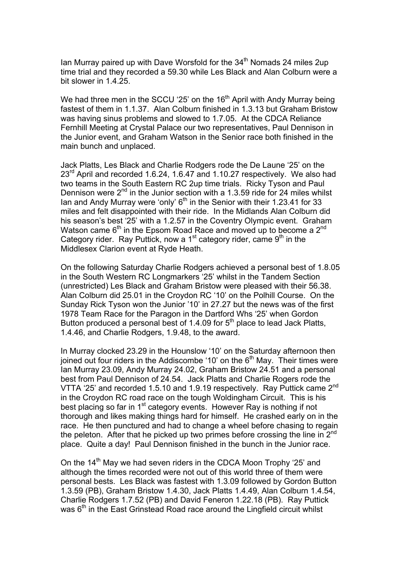Ian Murray paired up with Dave Worsfold for the  $34<sup>th</sup>$  Nomads 24 miles 2up time trial and they recorded a 59.30 while Les Black and Alan Colburn were a bit slower in 1.4.25.

We had three men in the SCCU '25' on the 16<sup>th</sup> April with Andy Murray being fastest of them in 1.1.37. Alan Colburn finished in 1.3.13 but Graham Bristow was having sinus problems and slowed to 1.7.05. At the CDCA Reliance Fernhill Meeting at Crystal Palace our two representatives, Paul Dennison in the Junior event, and Graham Watson in the Senior race both finished in the main bunch and unplaced.

Jack Platts, Les Black and Charlie Rodgers rode the De Laune '25' on the 23<sup>rd</sup> April and recorded 1.6.24, 1.6.47 and 1.10.27 respectively. We also had two teams in the South Eastern RC 2up time trials. Ricky Tyson and Paul Dennison were  $2^{nd}$  in the Junior section with a 1.3.59 ride for 24 miles whilst Ian and Andy Murray were 'only'  $6<sup>th</sup>$  in the Senior with their 1.23.41 for 33 miles and felt disappointed with their ride. In the Midlands Alan Colburn did his season's best '25' with a 1.2.57 in the Coventry Olympic event. Graham Watson came  $6<sup>th</sup>$  in the Epsom Road Race and moved up to become a  $2<sup>nd</sup>$ Category rider. Ray Puttick, now a  $1<sup>st</sup>$  category rider, came  $9<sup>th</sup>$  in the Middlesex Clarion event at Ryde Heath.

On the following Saturday Charlie Rodgers achieved a personal best of 1.8.05 in the South Western RC Longmarkers '25' whilst in the Tandem Section (unrestricted) Les Black and Graham Bristow were pleased with their 56.38. Alan Colburn did 25.01 in the Croydon RC '10' on the Polhill Course. On the Sunday Rick Tyson won the Junior '10' in 27.27 but the news was of the first 1978 Team Race for the Paragon in the Dartford Whs '25' when Gordon Button produced a personal best of 1.4.09 for  $5<sup>th</sup>$  place to lead Jack Platts, 1.4.46, and Charlie Rodgers, 1.9.48, to the award.

In Murray clocked 23.29 in the Hounslow '10' on the Saturday afternoon then joined out four riders in the Addiscombe '10' on the  $6<sup>th</sup>$  May. Their times were Ian Murray 23.09, Andy Murray 24.02, Graham Bristow 24.51 and a personal best from Paul Dennison of 24.54. Jack Platts and Charlie Rogers rode the VTTA '25' and recorded 1.5.10 and 1.9.19 respectively. Ray Puttick came 2<sup>nd</sup> in the Croydon RC road race on the tough Woldingham Circuit. This is his best placing so far in 1<sup>st</sup> category events. However Ray is nothing if not thorough and likes making things hard for himself. He crashed early on in the race. He then punctured and had to change a wheel before chasing to regain the peleton. After that he picked up two primes before crossing the line in  $2^{nd}$ place. Quite a day! Paul Dennison finished in the bunch in the Junior race.

On the 14<sup>th</sup> May we had seven riders in the CDCA Moon Trophy '25' and although the times recorded were not out of this world three of them were personal bests. Les Black was fastest with 1.3.09 followed by Gordon Button 1.3.59 (PB), Graham Bristow 1.4.30, Jack Platts 1.4.49, Alan Colburn 1.4.54, Charlie Rodgers 1.7.52 (PB) and David Feneron 1.22.18 (PB). Ray Puttick was  $6<sup>th</sup>$  in the East Grinstead Road race around the Lingfield circuit whilst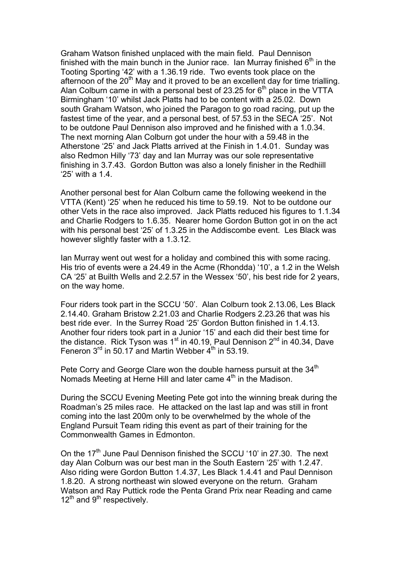Graham Watson finished unplaced with the main field. Paul Dennison finished with the main bunch in the Junior race. Ian Murray finished  $6<sup>th</sup>$  in the Tooting Sporting '42' with a 1.36.19 ride. Two events took place on the afternoon of the  $20<sup>th</sup>$  May and it proved to be an excellent day for time trialling. Alan Colburn came in with a personal best of 23.25 for  $6<sup>th</sup>$  place in the VTTA Birmingham '10' whilst Jack Platts had to be content with a 25.02. Down south Graham Watson, who joined the Paragon to go road racing, put up the fastest time of the year, and a personal best, of 57.53 in the SECA '25'. Not to be outdone Paul Dennison also improved and he finished with a 1.0.34. The next morning Alan Colburn got under the hour with a 59.48 in the Atherstone '25' and Jack Platts arrived at the Finish in 1.4.01. Sunday was also Redmon Hilly '73' day and Ian Murray was our sole representative finishing in 3.7.43. Gordon Button was also a lonely finisher in the Redhiill '25' with a 1.4.

Another personal best for Alan Colburn came the following weekend in the VTTA (Kent) '25' when he reduced his time to 59.19. Not to be outdone our other Vets in the race also improved. Jack Platts reduced his figures to 1.1.34 and Charlie Rodgers to 1.6.35. Nearer home Gordon Button got in on the act with his personal best '25' of 1.3.25 in the Addiscombe event. Les Black was however slightly faster with a 1.3.12.

Ian Murray went out west for a holiday and combined this with some racing. His trio of events were a 24.49 in the Acme (Rhondda) '10', a 1.2 in the Welsh CA '25' at Builth Wells and 2.2.57 in the Wessex '50', his best ride for 2 years, on the way home.

Four riders took part in the SCCU '50'. Alan Colburn took 2.13.06, Les Black 2.14.40. Graham Bristow 2.21.03 and Charlie Rodgers 2.23.26 that was his best ride ever. In the Surrey Road '25' Gordon Button finished in 1.4.13. Another four riders took part in a Junior '15' and each did their best time for the distance. Rick Tyson was 1<sup>st</sup> in 40.19, Paul Dennison 2<sup>nd</sup> in 40.34, Dave Feneron  $3<sup>rd</sup>$  in 50.17 and Martin Webber  $4<sup>th</sup>$  in 53.19.

Pete Corry and George Clare won the double harness pursuit at the 34<sup>th</sup> Nomads Meeting at Herne Hill and later came  $4<sup>th</sup>$  in the Madison.

During the SCCU Evening Meeting Pete got into the winning break during the Roadman's 25 miles race. He attacked on the last lap and was still in front coming into the last 200m only to be overwhelmed by the whole of the England Pursuit Team riding this event as part of their training for the Commonwealth Games in Edmonton.

On the 17<sup>th</sup> June Paul Dennison finished the SCCU '10' in 27.30. The next day Alan Colburn was our best man in the South Eastern '25' with 1.2.47. Also riding were Gordon Button 1.4.37, Les Black 1.4.41 and Paul Dennison 1.8.20. A strong northeast win slowed everyone on the return. Graham Watson and Ray Puttick rode the Penta Grand Prix near Reading and came  $12^{th}$  and  $9^{th}$  respectively.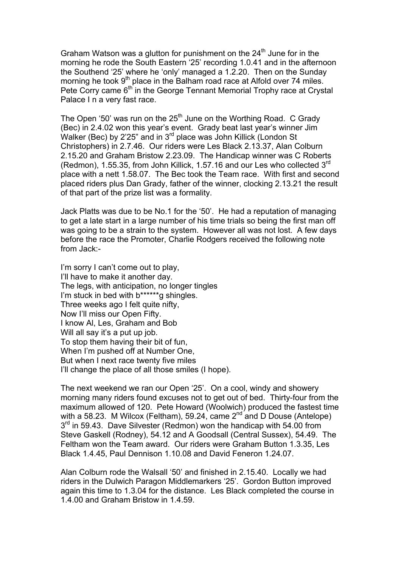Graham Watson was a glutton for punishment on the  $24<sup>th</sup>$  June for in the morning he rode the South Eastern '25' recording 1.0.41 and in the afternoon the Southend '25' where he 'only' managed a 1.2.20. Then on the Sunday morning he took  $9<sup>th</sup>$  place in the Balham road race at Alfold over 74 miles. Pete Corry came  $6<sup>th</sup>$  in the George Tennant Memorial Trophy race at Crystal Palace I n a very fast race.

The Open '50' was run on the 25<sup>th</sup> June on the Worthing Road. C Grady (Bec) in 2.4.02 won this year's event. Grady beat last year's winner Jim Walker (Bec) by 2'25" and in 3<sup>rd</sup> place was John Killick (London St Christophers) in 2.7.46. Our riders were Les Black 2.13.37, Alan Colburn 2.15.20 and Graham Bristow 2.23.09. The Handicap winner was C Roberts (Redmon), 1.55.35, from John Killick, 1.57.16 and our Les who collected 3rd place with a nett 1.58.07. The Bec took the Team race. With first and second placed riders plus Dan Grady, father of the winner, clocking 2.13.21 the result of that part of the prize list was a formality.

Jack Platts was due to be No.1 for the '50'. He had a reputation of managing to get a late start in a large number of his time trials so being the first man off was going to be a strain to the system. However all was not lost. A few days before the race the Promoter, Charlie Rodgers received the following note from Jack:-

I'm sorry I can't come out to play, I'll have to make it another day. The legs, with anticipation, no longer tingles I'm stuck in bed with b\*\*\*\*\*\*g shingles. Three weeks ago I felt quite nifty, Now I'll miss our Open Fifty. I know Al, Les, Graham and Bob Will all say it's a put up job. To stop them having their bit of fun, When I'm pushed off at Number One, But when I next race twenty five miles I'll change the place of all those smiles (I hope).

The next weekend we ran our Open '25'. On a cool, windy and showery morning many riders found excuses not to get out of bed. Thirty-four from the maximum allowed of 120. Pete Howard (Woolwich) produced the fastest time with a 58.23. M Wilcox (Feltham), 59.24, came  $2^{nd}$  and D Douse (Antelope)  $3<sup>rd</sup>$  in 59.43. Dave Silvester (Redmon) won the handicap with 54.00 from Steve Gaskell (Rodney), 54.12 and A Goodsall (Central Sussex), 54.49. The Feltham won the Team award. Our riders were Graham Button 1.3.35, Les Black 1.4.45, Paul Dennison 1.10.08 and David Feneron 1.24.07.

Alan Colburn rode the Walsall '50' and finished in 2.15.40. Locally we had riders in the Dulwich Paragon Middlemarkers '25'. Gordon Button improved again this time to 1.3.04 for the distance. Les Black completed the course in 1.4.00 and Graham Bristow in 1.4.59.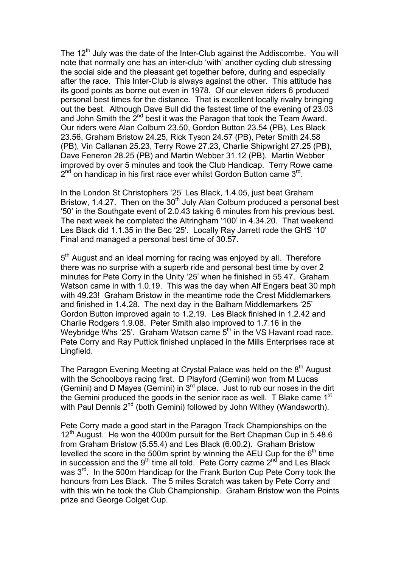The  $12<sup>th</sup>$  July was the date of the Inter-Club against the Addiscombe. You will note that normally one has an inter-club 'with' another cycling club stressing the social side and the pleasant get together before, during and especially after the race. This Inter-Club is always against the other. This attitude has its good points as borne out even in 1978. Of our eleven riders 6 produced personal best times for the distance. That is excellent locally rivalry bringing out the best. Although Dave Bull did the fastest time of the evening of 23.03 and John Smith the  $2^{nd}$  best it was the Paragon that took the Team Award. Our riders were Alan Colburn 23.50, Gordon Button 23.54 (PB), Les Black 23.56, Graham Bristow 24.25, Rick Tyson 24.57 (PB), Peter Smith 24.58 (PB), Vin Callanan 25.23, Terry Rowe 27.23, Charlie Shipwright 27.25 (PB), Dave Feneron 28.25 (PB) and Martin Webber 31.12 (PB). Martin Webber improved by over 5 minutes and took the Club Handicap. Terry Rowe came  $2<sup>nd</sup>$  on handicap in his first race ever whilst Gordon Button came  $3<sup>rd</sup>$ .

In the London St Christophers '25' Les Black, 1.4.05, just beat Graham Bristow, 1.4.27. Then on the  $30<sup>th</sup>$  July Alan Colburn produced a personal best '50' in the Southgate event of 2.0.43 taking 6 minutes from his previous best. The next week he completed the Altringham '100' in 4.34.20. That weekend Les Black did 1.1.35 in the Bec '25'. Locally Ray Jarrett rode the GHS '10' Final and managed a personal best time of 30.57.

 $5<sup>th</sup>$  August and an ideal morning for racing was enjoyed by all. Therefore there was no surprise with a superb ride and personal best time by over 2 minutes for Pete Corry in the Unity '25' when he finished in 55.47. Graham Watson came in with 1.0.19. This was the day when Alf Engers beat 30 mph with 49.23! Graham Bristow in the meantime rode the Crest Middlemarkers and finished in 1.4.28. The next day in the Balham Middlemarkers '25' Gordon Button improved again to 1.2.19. Les Black finished in 1.2.42 and Charlie Rodgers 1.9.08. Peter Smith also improved to 1.7.16 in the Weybridge Whs '25'. Graham Watson came  $5<sup>th</sup>$  in the VS Havant road race. Pete Corry and Ray Puttick finished unplaced in the Mills Enterprises race at Lingfield.

The Paragon Evening Meeting at Crystal Palace was held on the  $8<sup>th</sup>$  August with the Schoolboys racing first. D Playford (Gemini) won from M Lucas (Gemini) and D Mayes (Gemini) in  $3<sup>rd</sup>$  place. Just to rub our noses in the dirt the Gemini produced the goods in the senior race as well. T Blake came 1<sup>st</sup> with Paul Dennis 2<sup>nd</sup> (both Gemini) followed by John Withey (Wandsworth).

Pete Corry made a good start in the Paragon Track Championships on the  $12<sup>th</sup>$  August. He won the 4000m pursuit for the Bert Chapman Cup in 5.48.6 from Graham Bristow (5.55.4) and Les Black (6.00.2). Graham Bristow levelled the score in the 500m sprint by winning the AEU Cup for the  $6<sup>th</sup>$  time in succession and the  $9<sup>th</sup>$  time all told. Pete Corry cazme  $2<sup>nd</sup>$  and Les Black was 3<sup>rd</sup>. In the 500m Handicap for the Frank Burton Cup Pete Corry took the honours from Les Black. The 5 miles Scratch was taken by Pete Corry and with this win he took the Club Championship. Graham Bristow won the Points prize and George Colget Cup.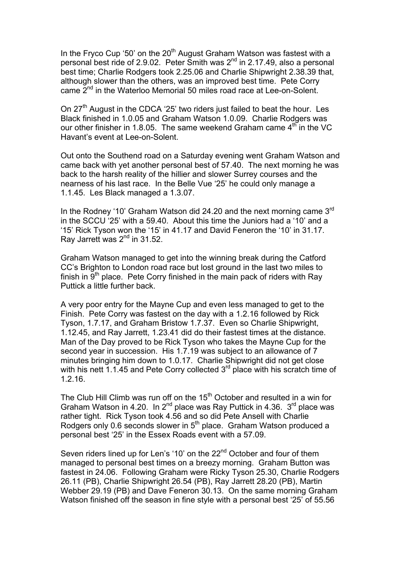In the Fryco Cup '50' on the 20<sup>th</sup> August Graham Watson was fastest with a personal best ride of 2.9.02. Peter Smith was  $2<sup>nd</sup>$  in 2.17.49, also a personal best time; Charlie Rodgers took 2.25.06 and Charlie Shipwright 2.38.39 that, although slower than the others, was an improved best time. Pete Corry came 2<sup>nd</sup> in the Waterloo Memorial 50 miles road race at Lee-on-Solent.

On  $27<sup>th</sup>$  August in the CDCA '25' two riders just failed to beat the hour. Les Black finished in 1.0.05 and Graham Watson 1.0.09. Charlie Rodgers was our other finisher in 1.8.05. The same weekend Graham came  $4<sup>th</sup>$  in the VC Havant's event at Lee-on-Solent.

Out onto the Southend road on a Saturday evening went Graham Watson and came back with yet another personal best of 57.40. The next morning he was back to the harsh reality of the hillier and slower Surrey courses and the nearness of his last race. In the Belle Vue '25' he could only manage a 1.1.45. Les Black managed a 1.3.07.

In the Rodney '10' Graham Watson did 24.20 and the next morning came 3<sup>rd</sup> in the SCCU '25' with a 59.40. About this time the Juniors had a '10' and a '15' Rick Tyson won the '15' in 41.17 and David Feneron the '10' in 31.17. Ray Jarrett was  $2^{nd}$  in 31.52.

Graham Watson managed to get into the winning break during the Catford CC's Brighton to London road race but lost ground in the last two miles to finish in  $9<sup>th</sup>$  place. Pete Corry finished in the main pack of riders with Ray Puttick a little further back.

A very poor entry for the Mayne Cup and even less managed to get to the Finish. Pete Corry was fastest on the day with a 1.2.16 followed by Rick Tyson, 1.7.17, and Graham Bristow 1.7.37. Even so Charlie Shipwright, 1.12.45, and Ray Jarrett, 1.23.41 did do their fastest times at the distance. Man of the Day proved to be Rick Tyson who takes the Mayne Cup for the second year in succession. His 1.7.19 was subject to an allowance of 7 minutes bringing him down to 1.0.17. Charlie Shipwright did not get close with his nett  $1.1.45$  and Pete Corry collected  $3<sup>rd</sup>$  place with his scratch time of 1.2.16.

The Club Hill Climb was run off on the 15<sup>th</sup> October and resulted in a win for Graham Watson in 4.20. In 2<sup>nd</sup> place was Ray Puttick in 4.36. 3<sup>rd</sup> place was rather tight. Rick Tyson took 4.56 and so did Pete Ansell with Charlie Rodgers only 0.6 seconds slower in 5<sup>th</sup> place. Graham Watson produced a personal best '25' in the Essex Roads event with a 57.09.

Seven riders lined up for Len's '10' on the 22<sup>nd</sup> October and four of them managed to personal best times on a breezy morning. Graham Button was fastest in 24.06. Following Graham were Ricky Tyson 25.30, Charlie Rodgers 26.11 (PB), Charlie Shipwright 26.54 (PB), Ray Jarrett 28.20 (PB), Martin Webber 29.19 (PB) and Dave Feneron 30.13. On the same morning Graham Watson finished off the season in fine style with a personal best '25' of 55.56